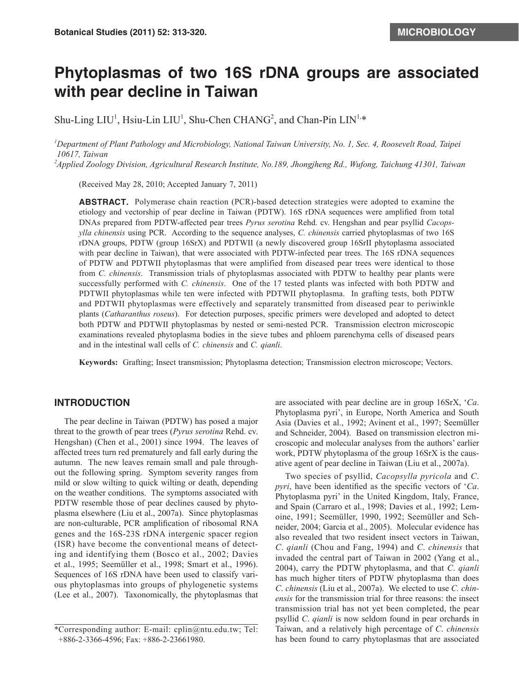# **Phytoplasmas of two 16S rDNA groups are associated with pear decline in Taiwan**

Shu-Ling  $LIU<sup>1</sup>$ , Hsiu-Lin  $LIU<sup>1</sup>$ , Shu-Chen CHANG<sup>2</sup>, and Chan-Pin  $LIN<sup>1,*</sup>$ </sup>

*1 Department of Plant Pathology and Microbiology, National Taiwan University, No. 1, Sec. 4, Roosevelt Road, Taipei 10617, Taiwan*

*2 Applied Zoology Division, Agricultural Research Institute, No.189, Jhongjheng Rd., Wufong, Taichung 41301, Taiwan* 

(Received May 28, 2010; Accepted January 7, 2011)

**ABSTRACT.** Polymerase chain reaction (PCR)-based detection strategies were adopted to examine the etiology and vectorship of pear decline in Taiwan (PDTW). 16S rDNA sequences were amplified from total DNAs prepared from PDTW-affected pear trees *Pyrus serotina* Rehd. cv. Hengshan and pear psyllid *Cacopsylla chinensis* using PCR. According to the sequence analyses, *C. chinensis* carried phytoplasmas of two 16S rDNA groups, PDTW (group 16SrX) and PDTWII (a newly discovered group 16SrII phytoplasma associated with pear decline in Taiwan), that were associated with PDTW-infected pear trees. The 16S rDNA sequences of PDTW and PDTWII phytoplasmas that were amplified from diseased pear trees were identical to those from *C. chinensis*. Transmission trials of phytoplasmas associated with PDTW to healthy pear plants were successfully performed with *C. chinensis*. One of the 17 tested plants was infected with both PDTW and PDTWII phytoplasmas while ten were infected with PDTWII phytoplasma. In grafting tests, both PDTW and PDTWII phytoplasmas were effectively and separately transmitted from diseased pear to periwinkle plants (*Catharanthus roseus*). For detection purposes, specific primers were developed and adopted to detect both PDTW and PDTWII phytoplasmas by nested or semi-nested PCR. Transmission electron microscopic examinations revealed phytoplasma bodies in the sieve tubes and phloem parenchyma cells of diseased pears and in the intestinal wall cells of *C. chinensis* and *C. qianli*.

**Keywords:** Grafting; Insect transmission; Phytoplasma detection; Transmission electron microscope; Vectors.

## **INTRODUCTION**

The pear decline in Taiwan (PDTW) has posed a major threat to the growth of pear trees (*Pyrus serotina* Rehd. cv. Hengshan) (Chen et al., 2001) since 1994. The leaves of affected trees turn red prematurely and fall early during the autumn. The new leaves remain small and pale throughout the following spring. Symptom severity ranges from mild or slow wilting to quick wilting or death, depending on the weather conditions. The symptoms associated with PDTW resemble those of pear declines caused by phytoplasma elsewhere (Liu et al., 2007a). Since phytoplasmas are non-culturable, PCR amplification of ribosomal RNA genes and the 16S-23S rDNA intergenic spacer region (ISR) have become the conventional means of detecting and identifying them (Bosco et al., 2002; Davies et al., 1995; Seemüller et al., 1998; Smart et al., 1996). Sequences of 16S rDNA have been used to classify various phytoplasmas into groups of phylogenetic systems (Lee et al., 2007). Taxonomically, the phytoplasmas that

are associated with pear decline are in group 16SrX, '*Ca*. Phytoplasma pyri', in Europe, North America and South Asia (Davies et al., 1992; Avinent et al., 1997; Seemüller and Schneider, 2004). Based on transmission electron microscopic and molecular analyses from the authors' earlier work, PDTW phytoplasma of the group 16SrX is the causative agent of pear decline in Taiwan (Liu et al., 2007a).

Two species of psyllid, *Cacopsylla pyricola* and *C*. *pyri*, have been identified as the specific vectors of '*Ca*. Phytoplasma pyri' in the United Kingdom, Italy, France, and Spain (Carraro et al., 1998; Davies et al*.*, 1992; Lemoine, 1991; Seemüller, 1990, 1992; Seemüller and Schneider, 2004; Garcia et al., 2005). Molecular evidence has also revealed that two resident insect vectors in Taiwan, *C*. *qianli* (Chou and Fang, 1994) and *C*. *chinensis* that invaded the central part of Taiwan in 2002 (Yang et al., 2004), carry the PDTW phytoplasma, and that *C*. *qianli*  has much higher titers of PDTW phytoplasma than does *C*. *chinensis* (Liu et al., 2007a). We elected to use *C. chinensis* for the transmission trial for three reasons: the insect transmission trial has not yet been completed, the pear psyllid *C*. *qianli* is now seldom found in pear orchards in Taiwan, and a relatively high percentage of *C*. *chinensis* has been found to carry phytoplasmas that are associated

<sup>\*</sup>Corresponding author: E-mail: cplin@ntu.edu.tw; Tel: +886-2-3366-4596; Fax: +886-2-23661980.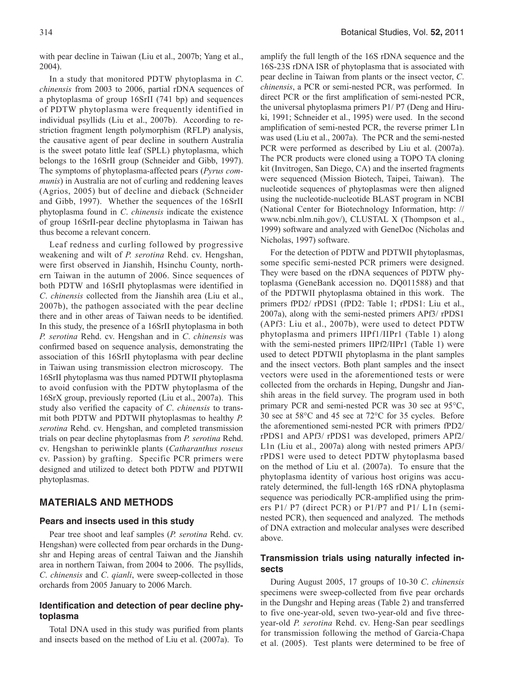with pear decline in Taiwan (Liu et al., 2007b; Yang et al., 2004).

In a study that monitored PDTW phytoplasma in *C*. *chinensis* from 2003 to 2006, partial rDNA sequences of a phytoplasma of group 16SrII (741 bp) and sequences of PDTW phytoplasma were frequently identified in individual psyllids (Liu et al., 2007b). According to restriction fragment length polymorphism (RFLP) analysis, the causative agent of pear decline in southern Australia is the sweet potato little leaf (SPLL) phytoplasma, which belongs to the 16SrII group (Schneider and Gibb, 1997). The symptoms of phytoplasma-affected pears (*Pyrus communis*) in Australia are not of curling and reddening leaves (Agrios, 2005) but of decline and dieback (Schneider and Gibb, 1997). Whether the sequences of the 16SrII phytoplasma found in *C*. *chinensis* indicate the existence of group 16SrII-pear decline phytoplasma in Taiwan has thus become a relevant concern.

Leaf redness and curling followed by progressive weakening and wilt of *P. serotina* Rehd. cv. Hengshan, were first observed in Jianshih, Hsinchu County, northern Taiwan in the autumn of 2006. Since sequences of both PDTW and 16SrII phytoplasmas were identified in *C*. *chinensis* collected from the Jianshih area (Liu et al., 2007b), the pathogen associated with the pear decline there and in other areas of Taiwan needs to be identified. In this study, the presence of a 16SrII phytoplasma in both *P. serotina* Rehd. cv. Hengshan and in *C*. *chinensis* was confirmed based on sequence analysis, demonstrating the association of this 16SrII phytoplasma with pear decline in Taiwan using transmission electron microscopy. The 16SrII phytoplasma was thus named PDTWII phytoplasma to avoid confusion with the PDTW phytoplasma of the 16SrX group, previously reported (Liu et al., 2007a). This study also verified the capacity of *C*. *chinensis* to transmit both PDTW and PDTWII phytoplasmas to healthy *P. serotina* Rehd. cv. Hengshan, and completed transmission trials on pear decline phytoplasmas from *P. serotina* Rehd. cv. Hengshan to periwinkle plants (*Catharanthus roseus* cv. Passion) by grafting. Specific PCR primers were designed and utilized to detect both PDTW and PDTWII phytoplasmas.

#### **MATERIALS AND METHODS**

#### **Pears and insects used in this study**

Pear tree shoot and leaf samples (*P. serotina* Rehd. cv. Hengshan) were collected from pear orchards in the Dungshr and Heping areas of central Taiwan and the Jianshih area in northern Taiwan, from 2004 to 2006. The psyllids, *C*. *chinensis* and *C*. *qianli*, were sweep-collected in those orchards from 2005 January to 2006 March.

#### **Identification and detection of pear decline phytoplasma**

Total DNA used in this study was purified from plants and insects based on the method of Liu et al. (2007a). To amplify the full length of the 16S rDNA sequence and the 16S-23S rDNA ISR of phytoplasma that is associated with pear decline in Taiwan from plants or the insect vector, *C*. *chinensis*, a PCR or semi-nested PCR, was performed. In direct PCR or the first amplification of semi-nested PCR, the universal phytoplasma primers P1/ P7 (Deng and Hiruki, 1991; Schneider et al., 1995) were used. In the second amplification of semi-nested PCR, the reverse primer L1n was used (Liu et al., 2007a). The PCR and the semi-nested PCR were performed as described by Liu et al. (2007a). The PCR products were cloned using a TOPO TA cloning kit (Invitrogen, San Diego, CA) and the inserted fragments were sequenced (Mission Biotech, Taipei, Taiwan). The nucleotide sequences of phytoplasmas were then aligned using the nucleotide-nucleotide BLAST program in NCBI (National Center for Biotechnology Information, http: // www.ncbi.nlm.nih.gov/), CLUSTAL X (Thompson et al., 1999) software and analyzed with GeneDoc (Nicholas and Nicholas, 1997) software.

For the detection of PDTW and PDTWII phytoplasmas, some specific semi-nested PCR primers were designed. They were based on the rDNA sequences of PDTW phytoplasma (GeneBank accession no. DQ011588) and that of the PDTWII phytoplasma obtained in this work. The primers fPD2/ rPDS1 (fPD2: Table 1; rPDS1: Liu et al., 2007a), along with the semi-nested primers APf3/ rPDS1 (APf3: Liu et al., 2007b), were used to detect PDTW phytoplasma and primers IIPf1/IIPr1 (Table 1) along with the semi-nested primers IIPf2/IIPr1 (Table 1) were used to detect PDTWII phytoplasma in the plant samples and the insect vectors. Both plant samples and the insect vectors were used in the aforementioned tests or were collected from the orchards in Heping, Dungshr and Jianshih areas in the field survey. The program used in both primary PCR and semi-nested PCR was 30 sec at 95°C, 30 sec at 58°C and 45 sec at 72°C for 35 cycles. Before the aforementioned semi-nested PCR with primers fPD2/ rPDS1 and APf3/ rPDS1 was developed, primers APf2/ L1n (Liu et al., 2007a) along with nested primers APf3/ rPDS1 were used to detect PDTW phytoplasma based on the method of Liu et al. (2007a). To ensure that the phytoplasma identity of various host origins was accurately determined, the full-length 16S rDNA phytoplasma sequence was periodically PCR-amplified using the primers P1/ P7 (direct PCR) or P1/P7 and P1/ L1n (seminested PCR), then sequenced and analyzed. The methods of DNA extraction and molecular analyses were described above.

## **Transmission trials using naturally infected insects**

During August 2005, 17 groups of 10-30 *C*. *chinensis* specimens were sweep-collected from five pear orchards in the Dungshr and Heping areas (Table 2) and transferred to five one-year-old, seven two-year-old and five threeyear-old *P. serotina* Rehd. cv. Heng-San pear seedlings for transmission following the method of Garcia-Chapa et al. (2005). Test plants were determined to be free of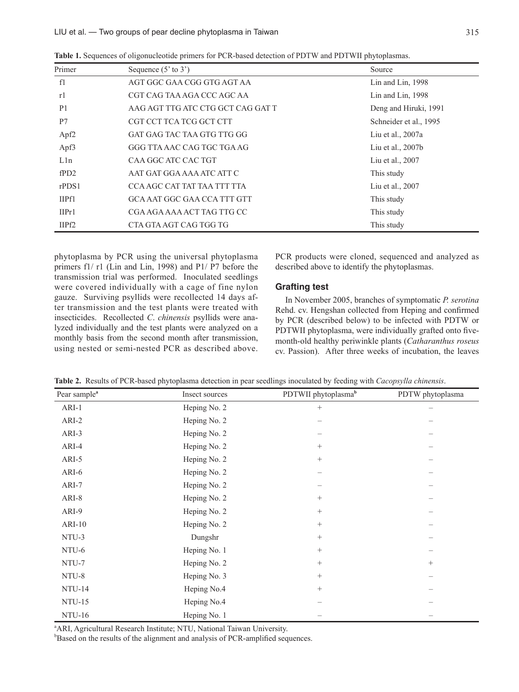| Primer            | Sequence $(5'$ to $3')$            | Source                 |
|-------------------|------------------------------------|------------------------|
| f1                | AGT GGC GAA CGG GTG AGT AA         | Lin and Lin, 1998      |
| r1                | CGT CAG TAA AGA CCC AGC AA         | Lin and Lin, $1998$    |
| P <sub>1</sub>    | AAG AGT TTG ATC CTG GCT CAG GAT T  | Deng and Hiruki, 1991  |
| P7                | CGT CCT TCA TCG GCT CTT            | Schneider et al., 1995 |
| Apf <sub>2</sub>  | GAT GAG TAC TAA GTG TTG GG         | Liu et al., 2007a      |
| Apf3              | GGG TTA AAC CAG TGC TGA AG         | Liu et al., $2007b$    |
| L1n               | CAA GGC ATC CAC TGT                | Liu et al., 2007       |
| fPD2              | AAT GAT GGA AAA ATC ATT C          | This study             |
| $r$ PDS1          | CCA AGC CAT TAT TAA TTT TTA        | Liu et al., 2007       |
| IIPf1             | <b>GCA AAT GGC GAA CCA TTT GTT</b> | This study             |
| IIPr <sub>1</sub> | CGA AGA AAA ACT TAG TTG CC         | This study             |
| IIPf <sub>2</sub> | CTA GTA AGT CAG TGG TG             | This study             |

**Table 1.** Sequences of oligonucleotide primers for PCR-based detection of PDTW and PDTWII phytoplasmas.

phytoplasma by PCR using the universal phytoplasma primers f1/ r1 (Lin and Lin, 1998) and P1/ P7 before the transmission trial was performed. Inoculated seedlings were covered individually with a cage of fine nylon gauze. Surviving psyllids were recollected 14 days after transmission and the test plants were treated with insecticides. Recollected *C*. *chinensis* psyllids were analyzed individually and the test plants were analyzed on a monthly basis from the second month after transmission, using nested or semi-nested PCR as described above. PCR products were cloned, sequenced and analyzed as described above to identify the phytoplasmas.

#### **Grafting test**

In November 2005, branches of symptomatic *P. serotina*  Rehd. cv. Hengshan collected from Heping and confirmed by PCR (described below) to be infected with PDTW or PDTWII phytoplasma, were individually grafted onto fivemonth-old healthy periwinkle plants (*Catharanthus roseus* cv. Passion). After three weeks of incubation, the leaves

| Pear sample <sup>a</sup> | Insect sources | PDTWII phytoplasma <sup>b</sup> | PDTW phytoplasma |
|--------------------------|----------------|---------------------------------|------------------|
| $ARI-1$                  | Heping No. 2   | $+$                             |                  |
| ARI-2                    | Heping No. 2   |                                 |                  |
| ARI-3                    | Heping No. 2   |                                 |                  |
| ARI-4                    | Heping No. 2   | $\qquad \qquad +$               |                  |
| ARI-5                    | Heping No. 2   | $\qquad \qquad +$               |                  |
| ARI-6                    | Heping No. 2   |                                 |                  |
| ARI-7                    | Heping No. 2   |                                 |                  |
| ARI-8                    | Heping No. 2   | $\qquad \qquad +$               |                  |
| ARI-9                    | Heping No. 2   | $\qquad \qquad +$               |                  |
| $ARI-10$                 | Heping No. 2   | $\qquad \qquad +$               |                  |
| NTU-3                    | Dungshr        | $\qquad \qquad +$               |                  |
| NTU-6                    | Heping No. 1   | $\qquad \qquad +$               |                  |
| NTU-7                    | Heping No. 2   | $^{+}$                          | $^{+}$           |
| NTU-8                    | Heping No. 3   | $\qquad \qquad +$               |                  |
| <b>NTU-14</b>            | Heping No.4    | $\qquad \qquad +$               |                  |
| <b>NTU-15</b>            | Heping No.4    |                                 |                  |
| <b>NTU-16</b>            | Heping No. 1   |                                 |                  |

<sup>a</sup> ARI, Agricultural Research Institute; NTU, National Taiwan University.

<sup>b</sup>Based on the results of the alignment and analysis of PCR-amplified sequences.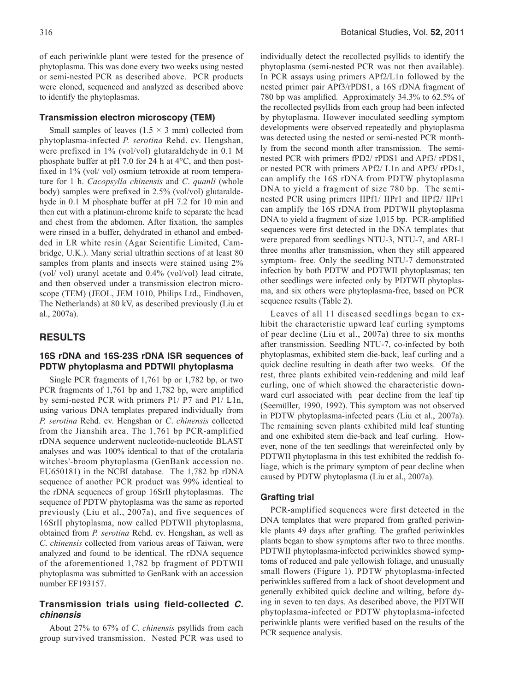of each periwinkle plant were tested for the presence of phytoplasma. This was done every two weeks using nested or semi-nested PCR as described above. PCR products were cloned, sequenced and analyzed as described above to identify the phytoplasmas.

#### **Transmission electron microscopy (TEM)**

Small samples of leaves  $(1.5 \times 3 \text{ mm})$  collected from phytoplasma-infected *P. serotina* Rehd. cv. Hengshan, were prefixed in 1% (vol/vol) glutaraldehyde in 0.1 M phosphate buffer at pH 7.0 for 24 h at 4°C, and then postfixed in 1% (vol/ vol) osmium tetroxide at room temperature for 1 h. *Cacopsylla chinensis* and *C*. *quanli* (whole body) samples were prefixed in 2.5% (vol/vol) glutaraldehyde in 0.1 M phosphate buffer at pH 7.2 for 10 min and then cut with a platinum-chrome knife to separate the head and chest from the abdomen. After fixation, the samples were rinsed in a buffer, dehydrated in ethanol and embedded in LR white resin (Agar Scientific Limited, Cambridge, U.K.). Many serial ultrathin sections of at least 80 samples from plants and insects were stained using 2% (vol/ vol) uranyl acetate and 0.4% (vol/vol) lead citrate, and then observed under a transmission electron microscope (TEM) (JEOL, JEM 1010, Philips Ltd., Eindhoven, The Netherlands) at 80 kV, as described previously (Liu et al., 2007a).

## **RESULTS**

#### **16S rDNA and 16S-23S rDNA ISR sequences of PDTW phytoplasma and PDTWII phytoplasma**

Single PCR fragments of 1,761 bp or 1,782 bp, or two PCR fragments of 1,761 bp and 1,782 bp, were amplified by semi-nested PCR with primers P1/ P7 and P1/ L1n, using various DNA templates prepared individually from *P. serotina* Rehd. cv. Hengshan or *C*. *chinensis* collected from the Jianshih area. The 1,761 bp PCR-amplified rDNA sequence underwent nucleotide-nucleotide BLAST analyses and was 100% identical to that of the crotalaria witches'-broom phytoplasma (GenBank accession no. EU650181) in the NCBI database. The 1,782 bp rDNA sequence of another PCR product was 99% identical to the rDNA sequences of group 16SrII phytoplasmas. The sequence of PDTW phytoplasma was the same as reported previously (Liu et al., 2007a), and five sequences of 16SrII phytoplasma, now called PDTWII phytoplasma, obtained from *P. serotina* Rehd. cv. Hengshan, as well as *C*. *chinensis* collected from various areas of Taiwan, were analyzed and found to be identical. The rDNA sequence of the aforementioned 1,782 bp fragment of PDTWII phytoplasma was submitted to GenBank with an accession number EF193157.

#### **Transmission trials using field-collected** *C. chinensis*

About 27% to 67% of *C*. *chinensis* psyllids from each group survived transmission. Nested PCR was used to

individually detect the recollected psyllids to identify the phytoplasma (semi-nested PCR was not then available). In PCR assays using primers APf2/L1n followed by the nested primer pair APf3/rPDS1, a 16S rDNA fragment of 780 bp was amplified. Approximately 34.3% to 62.5% of the recollected psyllids from each group had been infected by phytoplasma. However inoculated seedling symptom developments were observed repeatedly and phytoplasma was detected using the nested or semi-nested PCR monthly from the second month after transmission. The seminested PCR with primers fPD2/ rPDS1 and APf3/ rPDS1, or nested PCR with primers APf2/ L1n and APf3/ rPDs1, can amplify the 16S rDNA from PDTW phytoplasma DNA to yield a fragment of size 780 bp. The seminested PCR using primers IIPf1/ IIPr1 and IIPf2/ IIPr1 can amplify the 16S rDNA from PDTWII phytoplasma DNA to yield a fragment of size 1,015 bp. PCR-amplified sequences were first detected in the DNA templates that were prepared from seedlings NTU-3, NTU-7, and ARI-1 three months after transmission, when they still appeared symptom- free. Only the seedling NTU-7 demonstrated infection by both PDTW and PDTWII phytoplasmas; ten other seedlings were infected only by PDTWII phytoplasma, and six others were phytoplasma-free, based on PCR sequence results (Table 2).

Leaves of all 11 diseased seedlings began to exhibit the characteristic upward leaf curling symptoms of pear decline (Liu et al., 2007a) three to six months after transmission. Seedling NTU-7, co-infected by both phytoplasmas, exhibited stem die-back, leaf curling and a quick decline resulting in death after two weeks. Of the rest, three plants exhibited vein-reddening and mild leaf curling, one of which showed the characteristic downward curl associated with pear decline from the leaf tip (Seemüller, 1990, 1992). This symptom was not observed in PDTW phytoplasma-infected pears (Liu et al., 2007a). The remaining seven plants exhibited mild leaf stunting and one exhibited stem die-back and leaf curling. However, none of the ten seedlings that wereinfected only by PDTWII phytoplasma in this test exhibited the reddish foliage, which is the primary symptom of pear decline when caused by PDTW phytoplasma (Liu et al., 2007a).

#### **Grafting trial**

PCR-amplified sequences were first detected in the DNA templates that were prepared from grafted periwinkle plants 49 days after grafting. The grafted periwinkles plants began to show symptoms after two to three months. PDTWII phytoplasma-infected periwinkles showed symptoms of reduced and pale yellowish foliage, and unusually small flowers (Figure 1). PDTW phytoplasma-infected periwinkles suffered from a lack of shoot development and generally exhibited quick decline and wilting, before dying in seven to ten days. As described above, the PDTWII phytoplasma-infected or PDTW phytoplasma-infected periwinkle plants were verified based on the results of the PCR sequence analysis.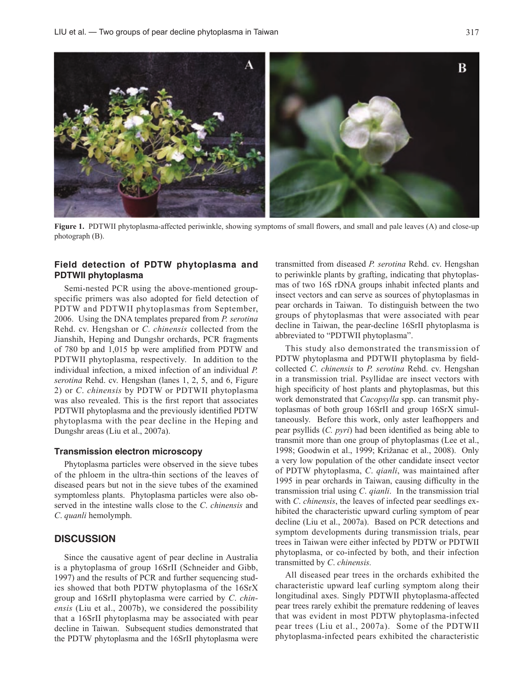

**Figure 1.** PDTWII phytoplasma-affected periwinkle, showing symptoms of small flowers, and small and pale leaves (A) and close-up photograph (B).

#### **Field detection of PDTW phytoplasma and PDTWII phytoplasma**

Semi-nested PCR using the above-mentioned groupspecific primers was also adopted for field detection of PDTW and PDTWII phytoplasmas from September, 2006. Using the DNA templates prepared from *P. serotina*  Rehd. cv. Hengshan or *C*. *chinensis* collected from the Jianshih, Heping and Dungshr orchards, PCR fragments of 780 bp and 1,015 bp were amplified from PDTW and PDTWII phytoplasma, respectively. In addition to the individual infection, a mixed infection of an individual *P. serotina* Rehd. cv. Hengshan (lanes 1, 2, 5, and 6, Figure 2) or *C*. *chinensis* by PDTW or PDTWII phytoplasma was also revealed. This is the first report that associates PDTWII phytoplasma and the previously identified PDTW phytoplasma with the pear decline in the Heping and Dungshr areas (Liu et al., 2007a).

#### **Transmission electron microscopy**

Phytoplasma particles were observed in the sieve tubes of the phloem in the ultra-thin sections of the leaves of diseased pears but not in the sieve tubes of the examined symptomless plants. Phytoplasma particles were also observed in the intestine walls close to the *C*. *chinensis* and *C*. *quanli* hemolymph.

## **DISCUSSION**

Since the causative agent of pear decline in Australia is a phytoplasma of group 16SrII (Schneider and Gibb, 1997) and the results of PCR and further sequencing studies showed that both PDTW phytoplasma of the 16SrX group and 16SrII phytoplasma were carried by *C*. *chinensis* (Liu et al., 2007b), we considered the possibility that a 16SrII phytoplasma may be associated with pear decline in Taiwan. Subsequent studies demonstrated that the PDTW phytoplasma and the 16SrII phytoplasma were

transmitted from diseased *P. serotina* Rehd. cv. Hengshan to periwinkle plants by grafting, indicating that phytoplasmas of two 16S rDNA groups inhabit infected plants and insect vectors and can serve as sources of phytoplasmas in pear orchards in Taiwan. To distinguish between the two groups of phytoplasmas that were associated with pear decline in Taiwan, the pear-decline 16SrII phytoplasma is abbreviated to "PDTWII phytoplasma".

This study also demonstrated the transmission of PDTW phytoplasma and PDTWII phytoplasma by fieldcollected *C*. *chinensis* to *P. serotina* Rehd. cv. Hengshan in a transmission trial. Psyllidae are insect vectors with high specificity of host plants and phytoplasmas, but this work demonstrated that *Cacopsylla* spp. can transmit phytoplasmas of both group 16SrII and group 16SrX simultaneously. Before this work, only aster leafhoppers and pear psyllids (*C. pyri*) had been identified as being able to transmit more than one group of phytoplasmas (Lee et al., 1998; Goodwin et al., 1999; Križanac et al., 2008). Only a very low population of the other candidate insect vector of PDTW phytoplasma, *C*. *qianli*, was maintained after 1995 in pear orchards in Taiwan, causing difficulty in the transmission trial using *C*. *qianli*. In the transmission trial with *C*. *chinensis*, the leaves of infected pear seedlings exhibited the characteristic upward curling symptom of pear decline (Liu et al., 2007a). Based on PCR detections and symptom developments during transmission trials, pear trees in Taiwan were either infected by PDTW or PDTWII phytoplasma, or co-infected by both, and their infection transmitted by *C*. *chinensis.*

All diseased pear trees in the orchards exhibited the characteristic upward leaf curling symptom along their longitudinal axes. Singly PDTWII phytoplasma-affected pear trees rarely exhibit the premature reddening of leaves that was evident in most PDTW phytoplasma-infected pear trees (Liu et al., 2007a). Some of the PDTWII phytoplasma-infected pears exhibited the characteristic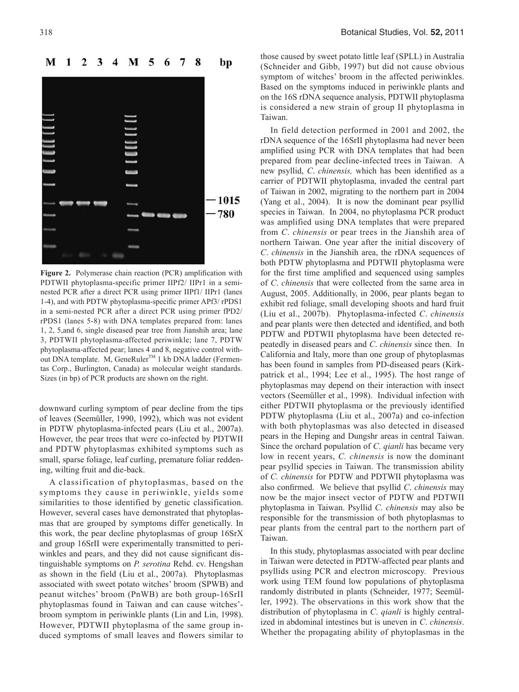

**Figure 2.** Polymerase chain reaction (PCR) amplification with PDTWII phytoplasma-specific primer IIPf2/ IIPr1 in a seminested PCR after a direct PCR using primer IIPf1/ IIPr1 (lanes 1-4), and with PDTW phytoplasma-specific primer APf3/ rPDS1 in a semi-nested PCR after a direct PCR using primer fPD2/ rPDS1 (lanes 5-8) with DNA templates prepared from: lanes 1, 2, 5,and 6, single diseased pear tree from Jianshih area; lane 3, PDTWII phytoplasma-affected periwinkle; lane 7, PDTW phytoplasma-affected pear; lanes 4 and 8, negative control without DNA template. M, GeneRuler<sup>TM</sup> 1 kb DNA ladder (Fermentas Corp., Burlington, Canada) as molecular weight standards. Sizes (in bp) of PCR products are shown on the right.

downward curling symptom of pear decline from the tips of leaves (Seemüller, 1990, 1992), which was not evident in PDTW phytoplasma-infected pears (Liu et al., 2007a). However, the pear trees that were co-infected by PDTWII and PDTW phytoplasmas exhibited symptoms such as small, sparse foliage, leaf curling, premature foliar reddening, wilting fruit and die-back.

A classification of phytoplasmas, based on the symptoms they cause in periwinkle, yields some similarities to those identified by genetic classification. However, several cases have demonstrated that phytoplasmas that are grouped by symptoms differ genetically. In this work, the pear decline phytoplasmas of group 16SrX and group 16SrII were experimentally transmitted to periwinkles and pears, and they did not cause significant distinguishable symptoms on *P. serotina* Rehd. cv. Hengshan as shown in the field (Liu et al., 2007a). Phytoplasmas associated with sweet potato witches' broom (SPWB) and peanut witches' broom (PnWB) are both group-16SrII phytoplasmas found in Taiwan and can cause witches' broom symptom in periwinkle plants (Lin and Lin, 1998). However, PDTWII phytoplasma of the same group induced symptoms of small leaves and flowers similar to those caused by sweet potato little leaf (SPLL) in Australia (Schneider and Gibb, 1997) but did not cause obvious symptom of witches' broom in the affected periwinkles. Based on the symptoms induced in periwinkle plants and on the 16S rDNA sequence analysis, PDTWII phytoplasma is considered a new strain of group II phytoplasma in Taiwan.

In field detection performed in 2001 and 2002, the rDNA sequence of the 16SrII phytoplasma had never been amplified using PCR with DNA templates that had been prepared from pear decline-infected trees in Taiwan. A new psyllid, *C*. *chinensis,* which has been identified as a carrier of PDTWII phytoplasma, invaded the central part of Taiwan in 2002, migrating to the northern part in 2004 (Yang et al., 2004). It is now the dominant pear psyllid species in Taiwan. In 2004, no phytoplasma PCR product was amplified using DNA templates that were prepared from *C*. *chinensis* or pear trees in the Jianshih area of northern Taiwan. One year after the initial discovery of *C*. *chinensis* in the Jianshih area, the rDNA sequences of both PDTW phytoplasma and PDTWII phytoplasma were for the first time amplified and sequenced using samples of *C*. *chinensis* that were collected from the same area in August, 2005. Additionally, in 2006, pear plants began to exhibit red foliage, small developing shoots and hard fruit (Liu et al., 2007b). Phytoplasma-infected *C*. *chinensis* and pear plants were then detected and identified, and both PDTW and PDTWII phytoplasma have been detected repeatedly in diseased pears and *C*. *chinensis* since then. In California and Italy, more than one group of phytoplasmas has been found in samples from PD-diseased pears (Kirkpatrick et al., 1994; Lee et al., 1995). The host range of phytoplasmas may depend on their interaction with insect vectors (Seemüller et al., 1998). Individual infection with either PDTWII phytoplasma or the previously identified PDTW phytoplasma (Liu et al., 2007a) and co-infection with both phytoplasmas was also detected in diseased pears in the Heping and Dungshr areas in central Taiwan. Since the orchard population of *C*. *qianli* has became very low in recent years, *C. chinensis* is now the dominant pear psyllid species in Taiwan. The transmission ability of *C. chinensis* for PDTW and PDTWII phytoplasma was also confirmed. We believe that psyllid *C*. *chinensis* may now be the major insect vector of PDTW and PDTWII phytoplasma in Taiwan. Psyllid *C*. *chinensis* may also be responsible for the transmission of both phytoplasmas to pear plants from the central part to the northern part of Taiwan.

In this study, phytoplasmas associated with pear decline in Taiwan were detected in PDTW-affected pear plants and psyllids using PCR and electron microscopy. Previous work using TEM found low populations of phytoplasma randomly distributed in plants (Schneider, 1977; Seemüller, 1992). The observations in this work show that the distribution of phytoplasma in *C*. *qianli* is highly centralized in abdominal intestines but is uneven in *C*. *chinensis*. Whether the propagating ability of phytoplasmas in the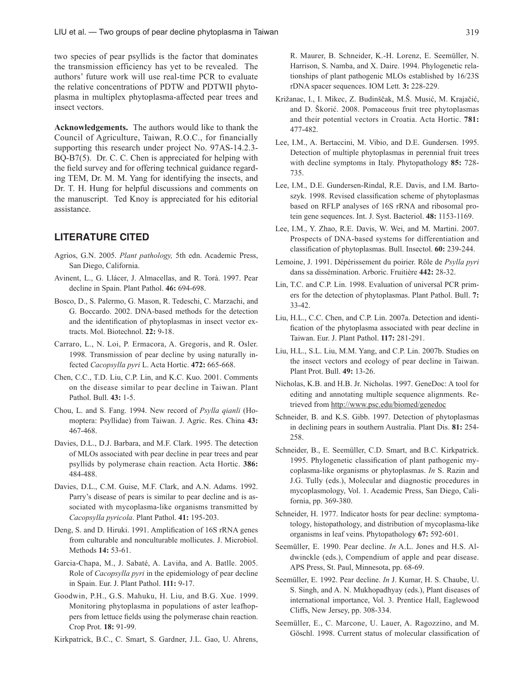two species of pear psyllids is the factor that dominates the transmission efficiency has yet to be revealed. The authors' future work will use real-time PCR to evaluate the relative concentrations of PDTW and PDTWII phytoplasma in multiplex phytoplasma-affected pear trees and insect vectors.

**Acknowledgements.** The authors would like to thank the Council of Agriculture, Taiwan, R.O.C., for financially supporting this research under project No. 97AS-14.2.3- BQ-B7(5). Dr. C. C. Chen is appreciated for helping with the field survey and for offering technical guidance regarding TEM, Dr. M. M. Yang for identifying the insects, and Dr. T. H. Hung for helpful discussions and comments on the manuscript. Ted Knoy is appreciated for his editorial assistance.

## **LITERATURE CITED**

- Agrios, G.N. 2005. *Plant pathology,* 5th edn. Academic Press, San Diego, California.
- Avinent, L., G. Llácer, J. Almacellas, and R. Torá. 1997. Pear decline in Spain. Plant Pathol. **46:** 694-698.
- Bosco, D., S. Palermo, G. Mason, R. Tedeschi, C. Marzachi, and G. Boccardo. 2002. DNA-based methods for the detection and the identification of phytoplasmas in insect vector extracts. Mol. Biotechnol. **22:** 9-18.
- Carraro, L., N. Loi, P. Ermacora, A. Gregoris, and R. Osler. 1998. Transmission of pear decline by using naturally infected *Cacopsylla pyri* L. Acta Hortic. **472:** 665-668.
- Chen, C.C., T.D. Liu, C.P. Lin, and K.C. Kuo. 2001. Comments on the disease similar to pear decline in Taiwan. Plant Pathol. Bull. **43:** 1-5.
- Chou, L. and S. Fang. 1994. New record of *Psylla qianli* (Homoptera: Psyllidae) from Taiwan. J. Agric. Res. China **43:** 467-468.
- Davies, D.L., D.J. Barbara, and M.F. Clark. 1995. The detection of MLOs associated with pear decline in pear trees and pear psyllids by polymerase chain reaction. Acta Hortic. **386:** 484-488.
- Davies, D.L., C.M. Guise, M.F. Clark, and A.N. Adams. 1992. Parry's disease of pears is similar to pear decline and is associated with mycoplasma-like organisms transmitted by *Cacopsylla pyricola*. Plant Pathol. **41:** 195-203.
- Deng, S. and D. Hiruki. 1991. Amplification of 16S rRNA genes from culturable and nonculturable mollicutes. J. Microbiol. Methods **14:** 53-61.
- Garcia-Chapa, M., J. Sabaté, A. Laviňa, and A. Batlle. 2005. Role of *Cacopsylla pyri* in the epidemiology of pear decline in Spain. Eur. J. Plant Pathol. **111:** 9-17.
- Goodwin, P.H., G.S. Mahuku, H. Liu, and B.G. Xue. 1999. Monitoring phytoplasma in populations of aster leafhoppers from lettuce fields using the polymerase chain reaction. Crop Prot. **18:** 91-99.
- Kirkpatrick, B.C., C. Smart, S. Gardner, J.L. Gao, U. Ahrens,

R. Maurer, B. Schneider, K.-H. Lorenz, E. Seemüller, N. Harrison, S. Namba, and X. Daire. 1994. Phylogenetic relationships of plant pathogenic MLOs established by 16/23S rDNA spacer sequences. IOM Lett. **3:** 228-229.

- Križanac, I., I. Mikec, Z. Budinščak, M.Š. Musić, M. Krajačić, and D. Škorić. 2008. Pomaceous fruit tree phytoplasmas and their potential vectors in Croatia. Acta Hortic. **781:**  477-482.
- Lee, I.M., A. Bertaccini, M. Vibio, and D.E. Gundersen. 1995. Detection of multiple phytoplasmas in perennial fruit trees with decline symptoms in Italy. Phytopathology **85:** 728- 735.
- Lee, I.M., D.E. Gundersen-Rindal, R.E. Davis, and I.M. Bartoszyk. 1998. Revised classification scheme of phytoplasmas based on RFLP analyses of 16S rRNA and ribosomal protein gene sequences. Int. J. Syst. Bacteriol. **48:** 1153-1169.
- Lee, I.M., Y. Zhao, R.E. Davis, W. Wei, and M. Martini. 2007. Prospects of DNA-based systems for differentiation and classification of phytoplasmas. Bull. Insectol. **60:** 239-244.
- Lemoine, J. 1991. Dépérissement du poirier. Rôle de *Psylla pyri*  dans sa dissémination. Arboric. Fruitière **442:** 28-32.
- Lin, T.C. and C.P. Lin. 1998. Evaluation of universal PCR primers for the detection of phytoplasmas. Plant Pathol. Bull. **7:** 33-42.
- Liu, H.L., C.C. Chen, and C.P. Lin. 2007a. Detection and identification of the phytoplasma associated with pear decline in Taiwan. Eur. J. Plant Pathol. **117:** 281-291.
- Liu, H.L., S.L. Liu, M.M. Yang, and C.P. Lin. 2007b. Studies on the insect vectors and ecology of pear decline in Taiwan. Plant Prot. Bull. **49:** 13-26.
- Nicholas, K.B. and H.B. Jr. Nicholas. 1997. GeneDoc: A tool for editing and annotating multiple sequence alignments. Retrieved from http://www.psc.edu/biomed/genedoc
- Schneider, B. and K.S. Gibb. 1997. Detection of phytoplasmas in declining pears in southern Australia. Plant Dis. **81:** 254- 258.
- Schneider, B., E. Seemüller, C.D. Smart, and B.C. Kirkpatrick. 1995. Phylogenetic classification of plant pathogenic mycoplasma-like organisms or phytoplasmas. *In* S. Razin and J.G. Tully (eds.), Molecular and diagnostic procedures in mycoplasmology, Vol. 1. Academic Press, San Diego, California, pp. 369-380.
- Schneider, H. 1977. Indicator hosts for pear decline: symptomatology, histopathology, and distribution of mycoplasma-like organisms in leaf veins. Phytopathology **67:** 592-601.
- Seemüller, E. 1990. Pear decline. *In* A.L. Jones and H.S. Aldwinckle (eds.), Compendium of apple and pear disease. APS Press, St. Paul, Minnesota, pp. 68-69.
- Seemüller, E. 1992. Pear decline. *In* J. Kumar, H. S. Chaube, U. S. Singh, and A. N. Mukhopadhyay (eds.), Plant diseases of international importance, Vol. 3. Prentice Hall, Eaglewood Cliffs, New Jersey, pp. 308-334.
- Seemüller, E., C. Marcone, U. Lauer, A. Ragozzino, and M. Göschl. 1998. Current status of molecular classification of